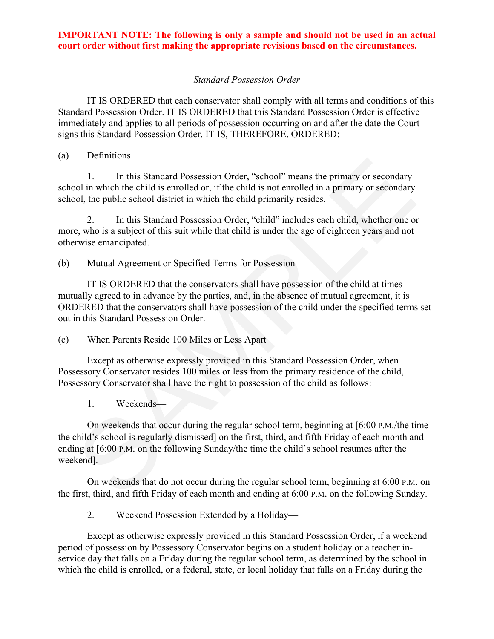## *Standard Possession Order*

IT IS ORDERED that each conservator shall comply with all terms and conditions of this Standard Possession Order. IT IS ORDERED that this Standard Possession Order is effective immediately and applies to all periods of possession occurring on and after the date the Court signs this Standard Possession Order. IT IS, THEREFORE, ORDERED:

(a) Definitions

1. In this Standard Possession Order, "school" means the primary or secondary school in which the child is enrolled or, if the child is not enrolled in a primary or secondary school, the public school district in which the child primarily resides.

2. In this Standard Possession Order, "child" includes each child, whether one or more, who is a subject of this suit while that child is under the age of eighteen years and not otherwise emancipated.

(b) Mutual Agreement or Specified Terms for Possession

IT IS ORDERED that the conservators shall have possession of the child at times mutually agreed to in advance by the parties, and, in the absence of mutual agreement, it is ORDERED that the conservators shall have possession of the child under the specified terms set out in this Standard Possession Order.

(c) When Parents Reside 100 Miles or Less Apart

Except as otherwise expressly provided in this Standard Possession Order, when Possessory Conservator resides 100 miles or less from the primary residence of the child, Possessory Conservator shall have the right to possession of the child as follows:

1. Weekends—

On weekends that occur during the regular school term, beginning at [6:00 P.M./the time the child's school is regularly dismissed] on the first, third, and fifth Friday of each month and ending at [6:00 P.M. on the following Sunday/the time the child's school resumes after the weekend].

On weekends that do not occur during the regular school term, beginning at 6:00 P.M. on the first, third, and fifth Friday of each month and ending at 6:00 P.M. on the following Sunday.

2. Weekend Possession Extended by a Holiday—

Except as otherwise expressly provided in this Standard Possession Order, if a weekend period of possession by Possessory Conservator begins on a student holiday or a teacher inservice day that falls on a Friday during the regular school term, as determined by the school in which the child is enrolled, or a federal, state, or local holiday that falls on a Friday during the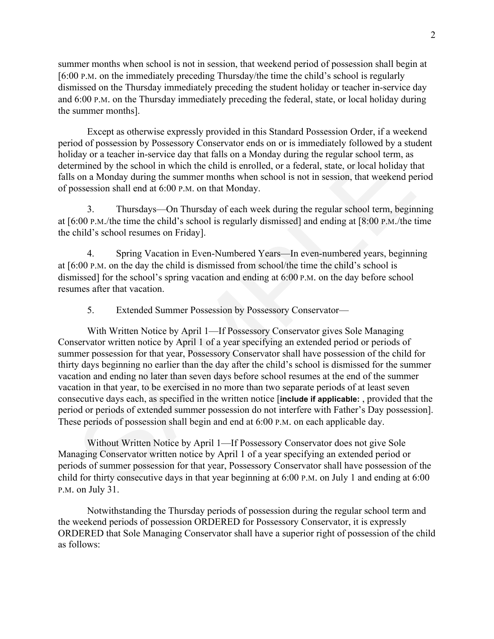summer months when school is not in session, that weekend period of possession shall begin at [6:00 P.M. on the immediately preceding Thursday/the time the child's school is regularly dismissed on the Thursday immediately preceding the student holiday or teacher in-service day and 6:00 P.M. on the Thursday immediately preceding the federal, state, or local holiday during the summer months].

Except as otherwise expressly provided in this Standard Possession Order, if a weekend period of possession by Possessory Conservator ends on or is immediately followed by a student holiday or a teacher in-service day that falls on a Monday during the regular school term, as determined by the school in which the child is enrolled, or a federal, state, or local holiday that falls on a Monday during the summer months when school is not in session, that weekend period of possession shall end at 6:00 P.M. on that Monday.

3. Thursdays—On Thursday of each week during the regular school term, beginning at [6:00 P.M./the time the child's school is regularly dismissed] and ending at [8:00 P.M./the time the child's school resumes on Friday].

4. Spring Vacation in Even-Numbered Years—In even-numbered years, beginning at [6:00 P.M. on the day the child is dismissed from school/the time the child's school is dismissed] for the school's spring vacation and ending at 6:00 P.M. on the day before school resumes after that vacation.

5. Extended Summer Possession by Possessory Conservator—

With Written Notice by April 1—If Possessory Conservator gives Sole Managing Conservator written notice by April 1 of a year specifying an extended period or periods of summer possession for that year, Possessory Conservator shall have possession of the child for thirty days beginning no earlier than the day after the child's school is dismissed for the summer vacation and ending no later than seven days before school resumes at the end of the summer vacation in that year, to be exercised in no more than two separate periods of at least seven consecutive days each, as specified in the written notice [**include if applicable:** , provided that the period or periods of extended summer possession do not interfere with Father's Day possession]. These periods of possession shall begin and end at 6:00 P.M. on each applicable day.

Without Written Notice by April 1—If Possessory Conservator does not give Sole Managing Conservator written notice by April 1 of a year specifying an extended period or periods of summer possession for that year, Possessory Conservator shall have possession of the child for thirty consecutive days in that year beginning at 6:00 P.M. on July 1 and ending at 6:00 P.M. on July 31.

Notwithstanding the Thursday periods of possession during the regular school term and the weekend periods of possession ORDERED for Possessory Conservator, it is expressly ORDERED that Sole Managing Conservator shall have a superior right of possession of the child as follows: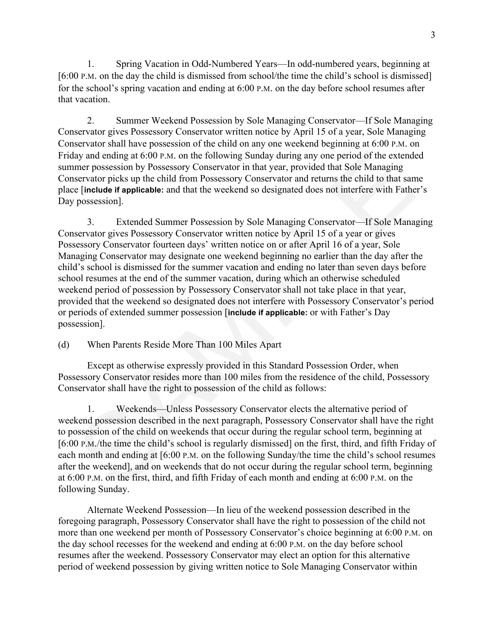1. Spring Vacation in Odd-Numbered Years—In odd-numbered years, beginning at [6:00 P.M. on the day the child is dismissed from school/the time the child's school is dismissed] for the school's spring vacation and ending at 6:00 P.M. on the day before school resumes after that vacation.

2. Summer Weekend Possession by Sole Managing Conservator—If Sole Managing Conservator gives Possessory Conservator written notice by April 15 of a year, Sole Managing Conservator shall have possession of the child on any one weekend beginning at 6:00 P.M. on Friday and ending at 6:00 P.M. on the following Sunday during any one period of the extended summer possession by Possessory Conservator in that year, provided that Sole Managing Conservator picks up the child from Possessory Conservator and returns the child to that same place [**include if applicable:** and that the weekend so designated does not interfere with Father's Day possession].

3. Extended Summer Possession by Sole Managing Conservator—If Sole Managing Conservator gives Possessory Conservator written notice by April 15 of a year or gives Possessory Conservator fourteen days' written notice on or after April 16 of a year, Sole Managing Conservator may designate one weekend beginning no earlier than the day after the child's school is dismissed for the summer vacation and ending no later than seven days before school resumes at the end of the summer vacation, during which an otherwise scheduled weekend period of possession by Possessory Conservator shall not take place in that year, provided that the weekend so designated does not interfere with Possessory Conservator's period or periods of extended summer possession [**include if applicable:** or with Father's Day possession].

## (d) When Parents Reside More Than 100 Miles Apart

Except as otherwise expressly provided in this Standard Possession Order, when Possessory Conservator resides more than 100 miles from the residence of the child, Possessory Conservator shall have the right to possession of the child as follows:

1. Weekends—Unless Possessory Conservator elects the alternative period of weekend possession described in the next paragraph, Possessory Conservator shall have the right to possession of the child on weekends that occur during the regular school term, beginning at [6:00 P.M./the time the child's school is regularly dismissed] on the first, third, and fifth Friday of each month and ending at [6:00 P.M. on the following Sunday/the time the child's school resumes after the weekend], and on weekends that do not occur during the regular school term, beginning at 6:00 P.M. on the first, third, and fifth Friday of each month and ending at 6:00 P.M. on the following Sunday.

Alternate Weekend Possession—In lieu of the weekend possession described in the foregoing paragraph, Possessory Conservator shall have the right to possession of the child not more than one weekend per month of Possessory Conservator's choice beginning at 6:00 P.M. on the day school recesses for the weekend and ending at 6:00 P.M. on the day before school resumes after the weekend. Possessory Conservator may elect an option for this alternative period of weekend possession by giving written notice to Sole Managing Conservator within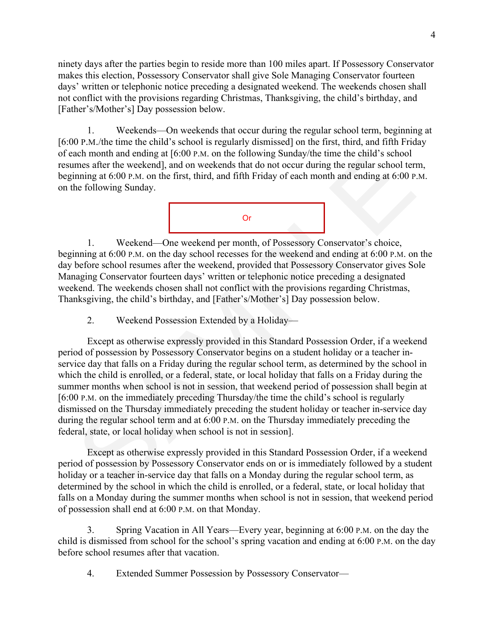ninety days after the parties begin to reside more than 100 miles apart. If Possessory Conservator makes this election, Possessory Conservator shall give Sole Managing Conservator fourteen days' written or telephonic notice preceding a designated weekend. The weekends chosen shall not conflict with the provisions regarding Christmas, Thanksgiving, the child's birthday, and [Father's/Mother's] Day possession below.

1. Weekends—On weekends that occur during the regular school term, beginning at [6:00 P.M./the time the child's school is regularly dismissed] on the first, third, and fifth Friday of each month and ending at [6:00 P.M. on the following Sunday/the time the child's school resumes after the weekend], and on weekends that do not occur during the regular school term, beginning at 6:00 P.M. on the first, third, and fifth Friday of each month and ending at 6:00 P.M. on the following Sunday.



1. Weekend—One weekend per month, of Possessory Conservator's choice, beginning at 6:00 P.M. on the day school recesses for the weekend and ending at 6:00 P.M. on the day before school resumes after the weekend, provided that Possessory Conservator gives Sole Managing Conservator fourteen days' written or telephonic notice preceding a designated weekend. The weekends chosen shall not conflict with the provisions regarding Christmas, Thanksgiving, the child's birthday, and [Father's/Mother's] Day possession below.

2. Weekend Possession Extended by a Holiday—

Except as otherwise expressly provided in this Standard Possession Order, if a weekend period of possession by Possessory Conservator begins on a student holiday or a teacher inservice day that falls on a Friday during the regular school term, as determined by the school in which the child is enrolled, or a federal, state, or local holiday that falls on a Friday during the summer months when school is not in session, that weekend period of possession shall begin at [6:00 P.M. on the immediately preceding Thursday/the time the child's school is regularly dismissed on the Thursday immediately preceding the student holiday or teacher in-service day during the regular school term and at 6:00 P.M. on the Thursday immediately preceding the federal, state, or local holiday when school is not in session].

Except as otherwise expressly provided in this Standard Possession Order, if a weekend period of possession by Possessory Conservator ends on or is immediately followed by a student holiday or a teacher in-service day that falls on a Monday during the regular school term, as determined by the school in which the child is enrolled, or a federal, state, or local holiday that falls on a Monday during the summer months when school is not in session, that weekend period of possession shall end at 6:00 P.M. on that Monday.

3. Spring Vacation in All Years—Every year, beginning at 6:00 P.M. on the day the child is dismissed from school for the school's spring vacation and ending at 6:00 P.M. on the day before school resumes after that vacation.

4. Extended Summer Possession by Possessory Conservator—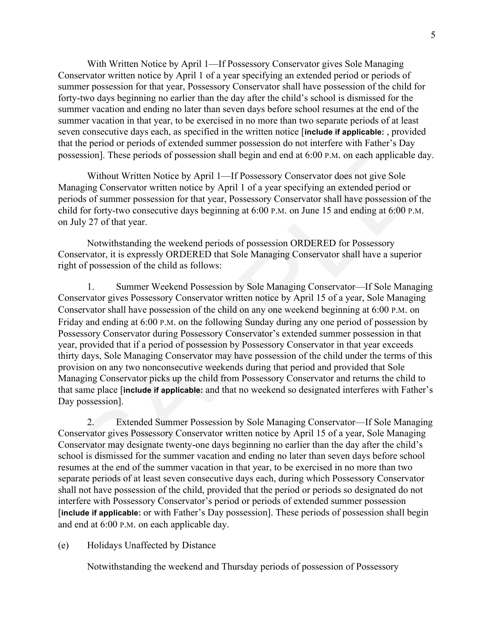With Written Notice by April 1—If Possessory Conservator gives Sole Managing Conservator written notice by April 1 of a year specifying an extended period or periods of summer possession for that year, Possessory Conservator shall have possession of the child for forty-two days beginning no earlier than the day after the child's school is dismissed for the summer vacation and ending no later than seven days before school resumes at the end of the summer vacation in that year, to be exercised in no more than two separate periods of at least seven consecutive days each, as specified in the written notice [**include if applicable:** , provided that the period or periods of extended summer possession do not interfere with Father's Day possession]. These periods of possession shall begin and end at 6:00 P.M. on each applicable day.

Without Written Notice by April 1—If Possessory Conservator does not give Sole Managing Conservator written notice by April 1 of a year specifying an extended period or periods of summer possession for that year, Possessory Conservator shall have possession of the child for forty-two consecutive days beginning at 6:00 P.M. on June 15 and ending at 6:00 P.M. on July 27 of that year.

Notwithstanding the weekend periods of possession ORDERED for Possessory Conservator, it is expressly ORDERED that Sole Managing Conservator shall have a superior right of possession of the child as follows:

1. Summer Weekend Possession by Sole Managing Conservator—If Sole Managing Conservator gives Possessory Conservator written notice by April 15 of a year, Sole Managing Conservator shall have possession of the child on any one weekend beginning at 6:00 P.M. on Friday and ending at 6:00 P.M. on the following Sunday during any one period of possession by Possessory Conservator during Possessory Conservator's extended summer possession in that year, provided that if a period of possession by Possessory Conservator in that year exceeds thirty days, Sole Managing Conservator may have possession of the child under the terms of this provision on any two nonconsecutive weekends during that period and provided that Sole Managing Conservator picks up the child from Possessory Conservator and returns the child to that same place [**include if applicable:** and that no weekend so designated interferes with Father's Day possession].

2. Extended Summer Possession by Sole Managing Conservator—If Sole Managing Conservator gives Possessory Conservator written notice by April 15 of a year, Sole Managing Conservator may designate twenty-one days beginning no earlier than the day after the child's school is dismissed for the summer vacation and ending no later than seven days before school resumes at the end of the summer vacation in that year, to be exercised in no more than two separate periods of at least seven consecutive days each, during which Possessory Conservator shall not have possession of the child, provided that the period or periods so designated do not interfere with Possessory Conservator's period or periods of extended summer possession [**include if applicable:** or with Father's Day possession]. These periods of possession shall begin and end at 6:00 P.M. on each applicable day.

## (e) Holidays Unaffected by Distance

Notwithstanding the weekend and Thursday periods of possession of Possessory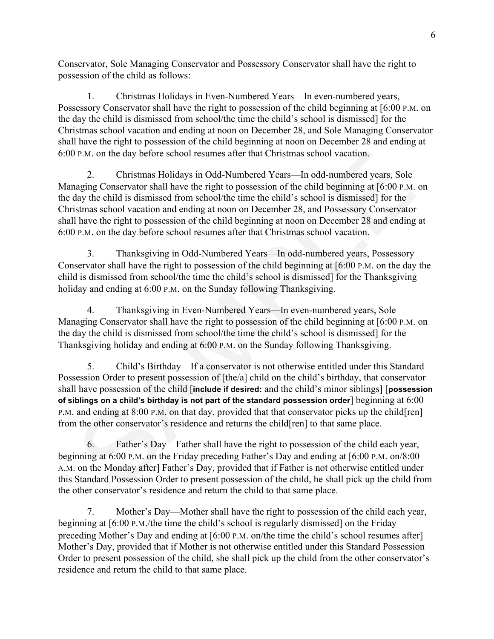Conservator, Sole Managing Conservator and Possessory Conservator shall have the right to possession of the child as follows:

1. Christmas Holidays in Even-Numbered Years—In even-numbered years, Possessory Conservator shall have the right to possession of the child beginning at [6:00 P.M. on the day the child is dismissed from school/the time the child's school is dismissed] for the Christmas school vacation and ending at noon on December 28, and Sole Managing Conservator shall have the right to possession of the child beginning at noon on December 28 and ending at 6:00 P.M. on the day before school resumes after that Christmas school vacation.

2. Christmas Holidays in Odd-Numbered Years—In odd-numbered years, Sole Managing Conservator shall have the right to possession of the child beginning at [6:00 P.M. on the day the child is dismissed from school/the time the child's school is dismissed] for the Christmas school vacation and ending at noon on December 28, and Possessory Conservator shall have the right to possession of the child beginning at noon on December 28 and ending at 6:00 P.M. on the day before school resumes after that Christmas school vacation.

3. Thanksgiving in Odd-Numbered Years—In odd-numbered years, Possessory Conservator shall have the right to possession of the child beginning at [6:00 P.M. on the day the child is dismissed from school/the time the child's school is dismissed] for the Thanksgiving holiday and ending at 6:00 P.M. on the Sunday following Thanksgiving.

4. Thanksgiving in Even-Numbered Years—In even-numbered years, Sole Managing Conservator shall have the right to possession of the child beginning at [6:00 P.M. on the day the child is dismissed from school/the time the child's school is dismissed] for the Thanksgiving holiday and ending at 6:00 P.M. on the Sunday following Thanksgiving.

5. Child's Birthday—If a conservator is not otherwise entitled under this Standard Possession Order to present possession of [the/a] child on the child's birthday, that conservator shall have possession of the child [**include if desired:** and the child's minor siblings] [**possession of siblings on a child's birthday is not part of the standard possession order**] beginning at 6:00 P.M. and ending at 8:00 P.M. on that day, provided that that conservator picks up the child[ren] from the other conservator's residence and returns the child[ren] to that same place.

6. Father's Day—Father shall have the right to possession of the child each year, beginning at 6:00 P.M. on the Friday preceding Father's Day and ending at [6:00 P.M. on/8:00 A.M. on the Monday after] Father's Day, provided that if Father is not otherwise entitled under this Standard Possession Order to present possession of the child, he shall pick up the child from the other conservator's residence and return the child to that same place.

7. Mother's Day—Mother shall have the right to possession of the child each year, beginning at [6:00 P.M./the time the child's school is regularly dismissed] on the Friday preceding Mother's Day and ending at [6:00 P.M. on/the time the child's school resumes after] Mother's Day, provided that if Mother is not otherwise entitled under this Standard Possession Order to present possession of the child, she shall pick up the child from the other conservator's residence and return the child to that same place.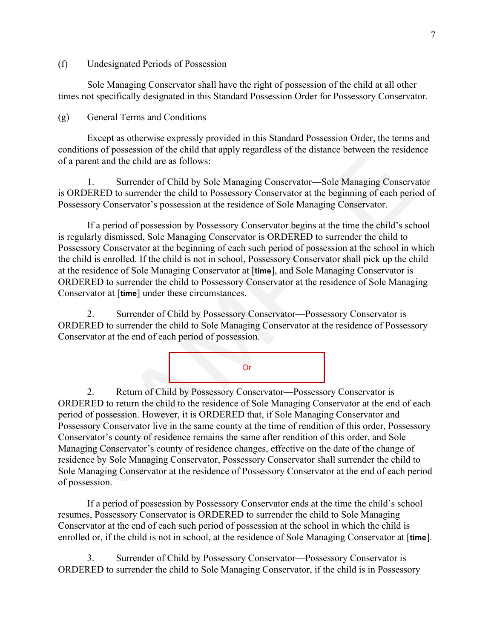## (f) Undesignated Periods of Possession

Sole Managing Conservator shall have the right of possession of the child at all other times not specifically designated in this Standard Possession Order for Possessory Conservator.

(g) General Terms and Conditions

Except as otherwise expressly provided in this Standard Possession Order, the terms and conditions of possession of the child that apply regardless of the distance between the residence of a parent and the child are as follows:

1. Surrender of Child by Sole Managing Conservator—Sole Managing Conservator is ORDERED to surrender the child to Possessory Conservator at the beginning of each period of Possessory Conservator's possession at the residence of Sole Managing Conservator.

If a period of possession by Possessory Conservator begins at the time the child's school is regularly dismissed, Sole Managing Conservator is ORDERED to surrender the child to Possessory Conservator at the beginning of each such period of possession at the school in which the child is enrolled. If the child is not in school, Possessory Conservator shall pick up the child at the residence of Sole Managing Conservator at [**time**], and Sole Managing Conservator is ORDERED to surrender the child to Possessory Conservator at the residence of Sole Managing Conservator at [**time**] under these circumstances.

2. Surrender of Child by Possessory Conservator—Possessory Conservator is ORDERED to surrender the child to Sole Managing Conservator at the residence of Possessory Conservator at the end of each period of possession.



2. Return of Child by Possessory Conservator—Possessory Conservator is ORDERED to return the child to the residence of Sole Managing Conservator at the end of each period of possession. However, it is ORDERED that, if Sole Managing Conservator and Possessory Conservator live in the same county at the time of rendition of this order, Possessory Conservator's county of residence remains the same after rendition of this order, and Sole Managing Conservator's county of residence changes, effective on the date of the change of residence by Sole Managing Conservator, Possessory Conservator shall surrender the child to Sole Managing Conservator at the residence of Possessory Conservator at the end of each period of possession.

If a period of possession by Possessory Conservator ends at the time the child's school resumes, Possessory Conservator is ORDERED to surrender the child to Sole Managing Conservator at the end of each such period of possession at the school in which the child is enrolled or, if the child is not in school, at the residence of Sole Managing Conservator at [**time**].

3. Surrender of Child by Possessory Conservator—Possessory Conservator is ORDERED to surrender the child to Sole Managing Conservator, if the child is in Possessory